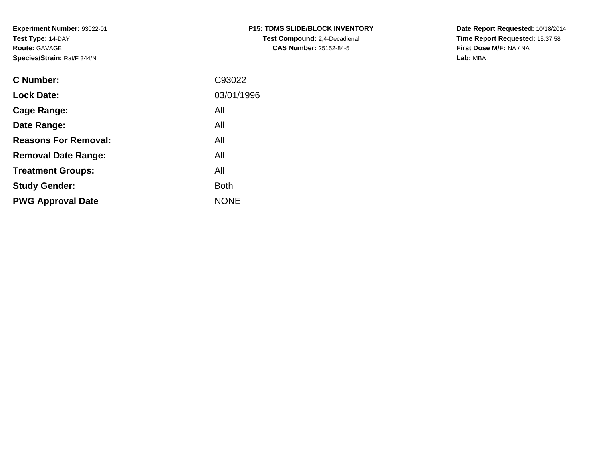**Experiment Number:** 93022-01**Test Type:** 14-DAY**Route:** GAVAGE**Species/Strain:** Rat/F 344/N

| P15: TDMS SLIDE/BLOCK INVENTORY      |
|--------------------------------------|
| <b>Test Compound:</b> 2,4-Decadienal |
| <b>CAS Number: 25152-84-5</b>        |

**Date Report Requested:** 10/18/2014 **Time Report Requested:** 15:37:58**First Dose M/F:** NA / NA**Lab:** MBA

| C Number:                   | C93022      |
|-----------------------------|-------------|
| <b>Lock Date:</b>           | 03/01/1996  |
| Cage Range:                 | All         |
| Date Range:                 | All         |
| <b>Reasons For Removal:</b> | All         |
| <b>Removal Date Range:</b>  | All         |
| <b>Treatment Groups:</b>    | All         |
| <b>Study Gender:</b>        | <b>Both</b> |
| <b>PWG Approval Date</b>    | <b>NONE</b> |
|                             |             |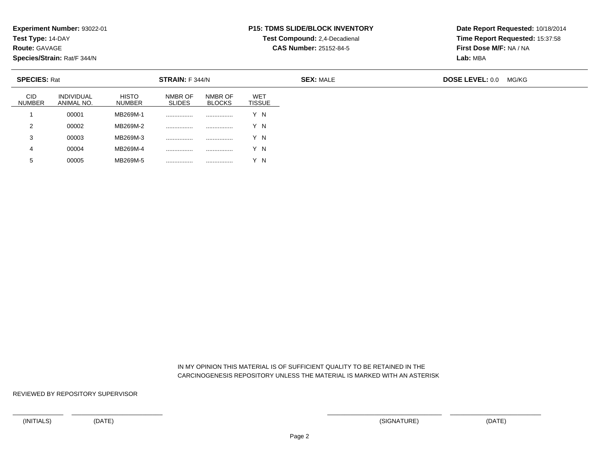**Test Type:** 14-DAY

**Route:** GAVAGE

**Species/Strain:** Rat/F 344/N

<sup>00005</sup> MB269M-5 ................ ................ Y N

### **P15: TDMS SLIDE/BLOCK INVENTORY**

**Test Compound:** 2,4-Decadienal **CAS Number:** 25152-84-5

**Date Report Requested:** 10/18/2014**Time Report Requested:** 15:37:58**First Dose M/F:** NA / NA**Lab:** MBA

| <b>SPECIES: Rat</b>  |                                 |                               | STRAIN: F 344/N          |                          |                             | <b>SEX: MALE</b> | <b>DOSE LEVEL: 0.0</b><br>MG/KG |  |  |
|----------------------|---------------------------------|-------------------------------|--------------------------|--------------------------|-----------------------------|------------------|---------------------------------|--|--|
| CID<br><b>NUMBER</b> | <b>INDIVIDUAL</b><br>ANIMAL NO. | <b>HISTO</b><br><b>NUMBER</b> | NMBR OF<br><b>SLIDES</b> | NMBR OF<br><b>BLOCKS</b> | <b>WET</b><br><b>TISSUE</b> |                  |                                 |  |  |
|                      | 00001                           | MB269M-1                      |                          |                          | Y N                         |                  |                                 |  |  |
| 2                    | 00002                           | MB269M-2                      | .                        |                          | Y N                         |                  |                                 |  |  |
| 3                    | 00003                           | MB269M-3                      | .                        | .                        | Y N                         |                  |                                 |  |  |
| 4                    | 00004                           | MB269M-4                      |                          |                          | Y N                         |                  |                                 |  |  |
| 5                    | 00005                           | MB269M-5                      |                          |                          | Y N                         |                  |                                 |  |  |

 IN MY OPINION THIS MATERIAL IS OF SUFFICIENT QUALITY TO BE RETAINED IN THECARCINOGENESIS REPOSITORY UNLESS THE MATERIAL IS MARKED WITH AN ASTERISK

REVIEWED BY REPOSITORY SUPERVISOR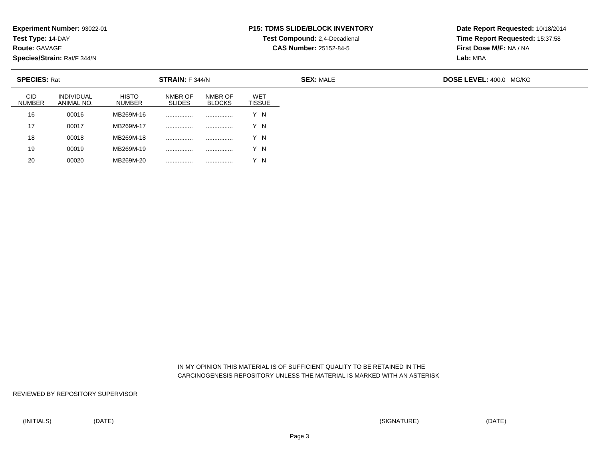**Test Type:** 14-DAY

**Route:** GAVAGE

**Species/Strain:** Rat/F 344/N

# **P15: TDMS SLIDE/BLOCK INVENTORY**

**Test Compound:** 2,4-Decadienal

**CAS Number:** 25152-84-5

**Date Report Requested:** 10/18/2014**Time Report Requested:** 15:37:58**First Dose M/F:** NA / NA**Lab:** MBA

| <b>SPECIES: Rat</b>         |                                 |                               | STRAIN: F 344/N          |                          |                             | <b>SEX: MALE</b> |  |  |
|-----------------------------|---------------------------------|-------------------------------|--------------------------|--------------------------|-----------------------------|------------------|--|--|
| <b>CID</b><br><b>NUMBER</b> | <b>INDIVIDUAL</b><br>ANIMAL NO. | <b>HISTO</b><br><b>NUMBER</b> | NMBR OF<br><b>SLIDES</b> | NMBR OF<br><b>BLOCKS</b> | <b>WET</b><br><b>TISSUE</b> |                  |  |  |
| 16                          | 00016                           | MB269M-16                     |                          |                          | Y N                         |                  |  |  |
| 17                          | 00017                           | MB269M-17                     |                          |                          | Y N                         |                  |  |  |
| 18                          | 00018                           | MB269M-18                     |                          |                          | Y N                         |                  |  |  |
| 19                          | 00019                           | MB269M-19                     |                          |                          | Y N                         |                  |  |  |
| 20                          | 00020                           | MB269M-20                     |                          |                          | Y N                         |                  |  |  |

 IN MY OPINION THIS MATERIAL IS OF SUFFICIENT QUALITY TO BE RETAINED IN THECARCINOGENESIS REPOSITORY UNLESS THE MATERIAL IS MARKED WITH AN ASTERISK

REVIEWED BY REPOSITORY SUPERVISOR

<sup>00020</sup> MB269M-20 ................ ................ Y N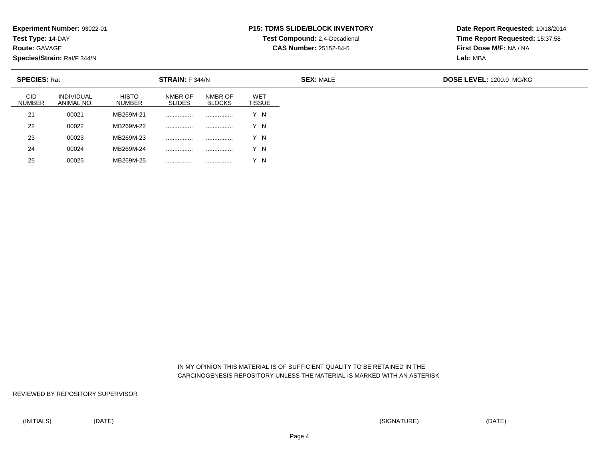**Test Type:** 14-DAY

**Route:** GAVAGE

25

**Species/Strain:** Rat/F 344/N

<sup>00025</sup> MB269M-25 ................ ................ Y N

# **P15: TDMS SLIDE/BLOCK INVENTORY**

**Test Compound:** 2,4-Decadienal **CAS Number:** 25152-84-5

**Date Report Requested:** 10/18/2014**Time Report Requested:** 15:37:58**First Dose M/F:** NA / NA**Lab:** MBA

| <b>SPECIES: Rat</b>         |                          |                               | STRAIN: F 344/N          |                          |                             | <b>SEX: MALE</b> | DOSE LEVEL: 1200.0 MG/KG |
|-----------------------------|--------------------------|-------------------------------|--------------------------|--------------------------|-----------------------------|------------------|--------------------------|
| <b>CID</b><br><b>NUMBER</b> | INDIVIDUAL<br>ANIMAL NO. | <b>HISTO</b><br><b>NUMBER</b> | NMBR OF<br><b>SLIDES</b> | NMBR OF<br><b>BLOCKS</b> | <b>WET</b><br><b>TISSUE</b> |                  |                          |
| 21                          | 00021                    | MB269M-21                     |                          | .                        | Y N                         |                  |                          |
| 22                          | 00022                    | MB269M-22                     |                          | .                        | Y N                         |                  |                          |
| 23                          | 00023                    | MB269M-23                     |                          | .                        | Y N                         |                  |                          |
| 24                          | 00024                    | MB269M-24                     |                          |                          | Y N                         |                  |                          |

 IN MY OPINION THIS MATERIAL IS OF SUFFICIENT QUALITY TO BE RETAINED IN THECARCINOGENESIS REPOSITORY UNLESS THE MATERIAL IS MARKED WITH AN ASTERISK

REVIEWED BY REPOSITORY SUPERVISOR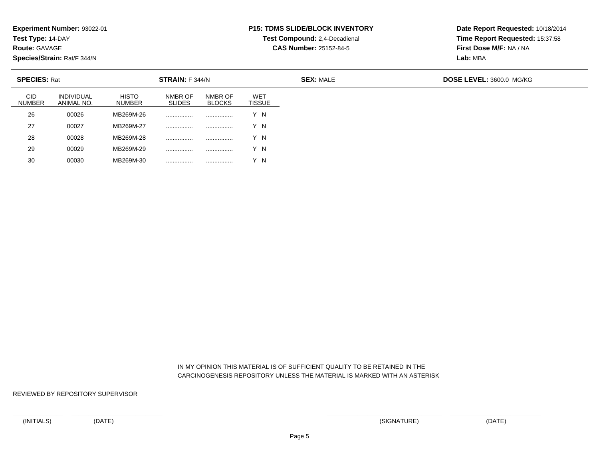**Test Type:** 14-DAY

**Route:** GAVAGE

**Species/Strain:** Rat/F 344/N

# **P15: TDMS SLIDE/BLOCK INVENTORY**

**Test Compound:** 2,4-Decadienal

**CAS Number:** 25152-84-5

**Date Report Requested:** 10/18/2014**Time Report Requested:** 15:37:58**First Dose M/F:** NA / NA**Lab:** MBA

| <b>SPECIES: Rat</b>         |                                 |                               | <b>STRAIN:</b> F 344/N   |                          |                             |  |
|-----------------------------|---------------------------------|-------------------------------|--------------------------|--------------------------|-----------------------------|--|
| <b>CID</b><br><b>NUMBER</b> | <b>INDIVIDUAL</b><br>ANIMAL NO. | <b>HISTO</b><br><b>NUMBER</b> | NMBR OF<br><b>SLIDES</b> | NMBR OF<br><b>BLOCKS</b> | <b>WET</b><br><b>TISSUE</b> |  |
| 26                          | 00026                           | MB269M-26                     |                          |                          | Y N                         |  |
| 27                          | 00027                           | MB269M-27                     | .                        |                          | Y N                         |  |
| 28                          | 00028                           | MB269M-28                     |                          |                          | Y N                         |  |
| 29                          | 00029                           | MB269M-29                     |                          | .                        | Y N                         |  |
| 30                          | 00030                           | MB269M-30                     | .                        | .                        | - N                         |  |

 IN MY OPINION THIS MATERIAL IS OF SUFFICIENT QUALITY TO BE RETAINED IN THECARCINOGENESIS REPOSITORY UNLESS THE MATERIAL IS MARKED WITH AN ASTERISK

REVIEWED BY REPOSITORY SUPERVISOR

<sup>00030</sup> MB269M-30 ................ ................ Y N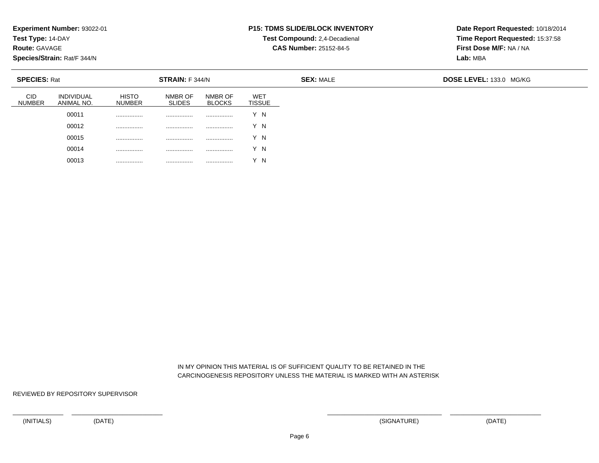**Test Type:** 14-DAY

**Route:** GAVAGE

**Species/Strain:** Rat/F 344/N

### **P15: TDMS SLIDE/BLOCK INVENTORY**

**Test Compound:** 2,4-Decadienal **CAS Number:** 25152-84-5

**Date Report Requested:** 10/18/2014**Time Report Requested:** 15:37:58**First Dose M/F:** NA / NA**Lab:** MBA

| <b>SPECIES: Rat</b>         |                          |                               | STRAIN: F 344/N          |                          |                      | <b>SEX: MALE</b> | DOSE LEVEL: 133.0 MG/KG |  |  |
|-----------------------------|--------------------------|-------------------------------|--------------------------|--------------------------|----------------------|------------------|-------------------------|--|--|
| <b>CID</b><br><b>NUMBER</b> | INDIVIDUAL<br>ANIMAL NO. | <b>HISTO</b><br><b>NUMBER</b> | NMBR OF<br><b>SLIDES</b> | NMBR OF<br><b>BLOCKS</b> | <b>WET</b><br>TISSUE |                  |                         |  |  |
|                             | 00011                    | .                             | .                        |                          | Y N                  |                  |                         |  |  |
|                             | 00012                    | .                             | .                        |                          | N                    |                  |                         |  |  |
|                             | 00015                    | .                             | .                        |                          | $Y$ N                |                  |                         |  |  |
|                             | 00014                    | .                             | .                        |                          | Y N                  |                  |                         |  |  |
|                             | 00013                    | .                             | .                        |                          | - N                  |                  |                         |  |  |

 IN MY OPINION THIS MATERIAL IS OF SUFFICIENT QUALITY TO BE RETAINED IN THECARCINOGENESIS REPOSITORY UNLESS THE MATERIAL IS MARKED WITH AN ASTERISK

REVIEWED BY REPOSITORY SUPERVISOR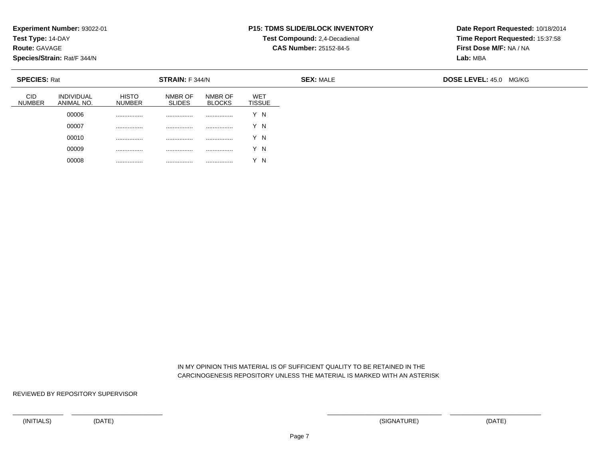**Test Type:** 14-DAY

**Route:** GAVAGE

**Species/Strain:** Rat/F 344/N

### **P15: TDMS SLIDE/BLOCK INVENTORY**

**Test Compound:** 2,4-Decadienal

**CAS Number:** 25152-84-5

**Date Report Requested:** 10/18/2014**Time Report Requested:** 15:37:58**First Dose M/F:** NA / NA**Lab:** MBA

| <b>SPECIES: Rat</b>             |                               | <b>STRAIN: F 344/N</b>   |                          |                      | <b>SEX: MALE</b> | <b>DOSE LEVEL: 45.0</b><br>MG/KG |
|---------------------------------|-------------------------------|--------------------------|--------------------------|----------------------|------------------|----------------------------------|
| <b>INDIVIDUAL</b><br>ANIMAL NO. | <b>HISTO</b><br><b>NUMBER</b> | NMBR OF<br><b>SLIDES</b> | NMBR OF<br><b>BLOCKS</b> | <b>WET</b><br>TISSUE |                  |                                  |
| 00006                           |                               | .                        |                          | Y N                  |                  |                                  |
| 00007                           |                               | .                        | .                        | Y N                  |                  |                                  |
| 00010                           |                               |                          |                          | Y N                  |                  |                                  |
| 00009                           |                               | .                        | .                        | Y N                  |                  |                                  |
| 00008                           | .                             | .                        |                          | - N                  |                  |                                  |

 IN MY OPINION THIS MATERIAL IS OF SUFFICIENT QUALITY TO BE RETAINED IN THECARCINOGENESIS REPOSITORY UNLESS THE MATERIAL IS MARKED WITH AN ASTERISK

REVIEWED BY REPOSITORY SUPERVISOR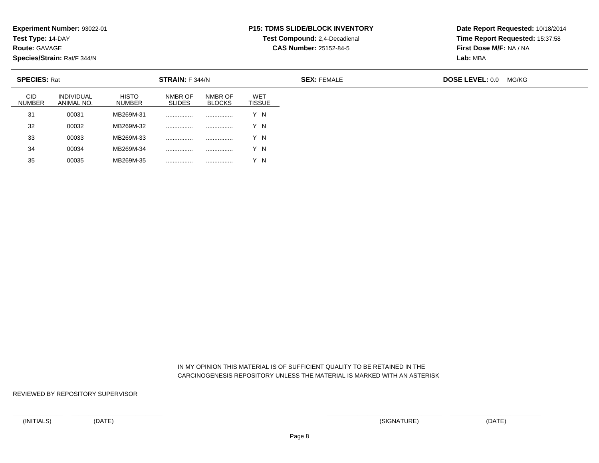**Test Type:** 14-DAY

**Route:** GAVAGE

35

**Species/Strain:** Rat/F 344/N

#### **P15: TDMS SLIDE/BLOCK INVENTORY**

**Test Compound:** 2,4-Decadienal

**CAS Number:** 25152-84-5

**Date Report Requested:** 10/18/2014**Time Report Requested:** 15:37:58**First Dose M/F:** NA / NA**Lab:** MBA

| <b>SPECIES: Rat</b>         |                                 |                               | STRAIN: F 344/N<br><b>SEX: FEMALE</b> |                          |                             |  | <b>DOSE LEVEL: 0.0</b><br>MG/KG |  |  |
|-----------------------------|---------------------------------|-------------------------------|---------------------------------------|--------------------------|-----------------------------|--|---------------------------------|--|--|
| <b>CID</b><br><b>NUMBER</b> | <b>INDIVIDUAL</b><br>ANIMAL NO. | <b>HISTO</b><br><b>NUMBER</b> | NMBR OF<br><b>SLIDES</b>              | NMBR OF<br><b>BLOCKS</b> | <b>WET</b><br><b>TISSUE</b> |  |                                 |  |  |
| 31                          | 00031                           | MB269M-31                     |                                       |                          | Y N                         |  |                                 |  |  |
| 32                          | 00032                           | MB269M-32                     |                                       |                          | Y N                         |  |                                 |  |  |
| 33                          | 00033                           | MB269M-33                     |                                       |                          | Y N                         |  |                                 |  |  |
| 34                          | 00034                           | MB269M-34                     |                                       | .                        | Y N                         |  |                                 |  |  |

 IN MY OPINION THIS MATERIAL IS OF SUFFICIENT QUALITY TO BE RETAINED IN THECARCINOGENESIS REPOSITORY UNLESS THE MATERIAL IS MARKED WITH AN ASTERISK

REVIEWED BY REPOSITORY SUPERVISOR

<sup>00035</sup> MB269M-35 ................ ................ Y N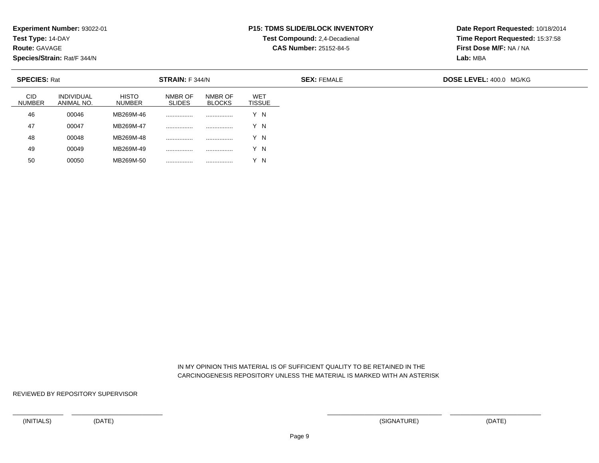**Test Type:** 14-DAY

**Route:** GAVAGE

**Species/Strain:** Rat/F 344/N

## **P15: TDMS SLIDE/BLOCK INVENTORY**

**Test Compound:** 2,4-Decadienal

**CAS Number:** 25152-84-5

**Date Report Requested:** 10/18/2014**Time Report Requested:** 15:37:58**First Dose M/F:** NA / NA**Lab:** MBA

| <b>SPECIES: Rat</b>  |                          |                               | STRAIN: F 344/N          |                          |                                  | <b>SEX: FEMALE</b> | <b>DOSE LEVEL: 400.0 MG/KG</b> |  |  |
|----------------------|--------------------------|-------------------------------|--------------------------|--------------------------|----------------------------------|--------------------|--------------------------------|--|--|
| CID<br><b>NUMBER</b> | INDIVIDUAL<br>ANIMAL NO. | <b>HISTO</b><br><b>NUMBER</b> | NMBR OF<br><b>SLIDES</b> | NMBR OF<br><b>BLOCKS</b> | WE <sub>1</sub><br><b>TISSUE</b> |                    |                                |  |  |
| 46                   | 00046                    | MB269M-46                     |                          | .                        | Y N                              |                    |                                |  |  |
| 47                   | 00047                    | MB269M-47                     |                          |                          | Y N                              |                    |                                |  |  |
| 48                   | 00048                    | MB269M-48                     |                          | .                        | Y N                              |                    |                                |  |  |
| 49                   | 00049                    | MB269M-49                     |                          | .                        | Y N                              |                    |                                |  |  |
| 50                   | 00050                    | MB269M-50                     |                          |                          | Y N                              |                    |                                |  |  |

 IN MY OPINION THIS MATERIAL IS OF SUFFICIENT QUALITY TO BE RETAINED IN THECARCINOGENESIS REPOSITORY UNLESS THE MATERIAL IS MARKED WITH AN ASTERISK

REVIEWED BY REPOSITORY SUPERVISOR

<sup>00050</sup> MB269M-50 ................ ................ Y N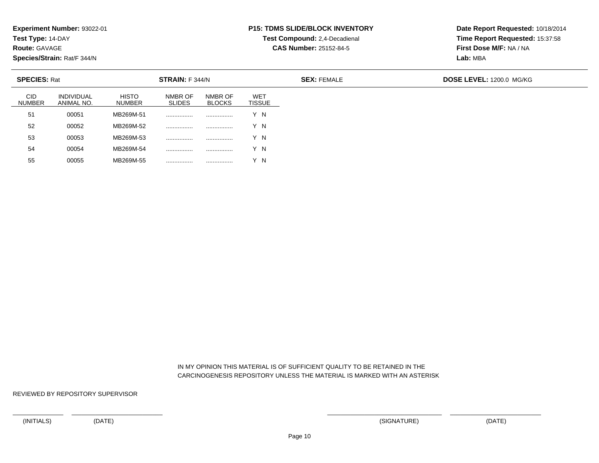**Test Type:** 14-DAY

**Route:** GAVAGE

**Species/Strain:** Rat/F 344/N

## **P15: TDMS SLIDE/BLOCK INVENTORY**

**Test Compound:** 2,4-Decadienal

**CAS Number:** 25152-84-5

**Date Report Requested:** 10/18/2014**Time Report Requested:** 15:37:58**First Dose M/F:** NA / NA**Lab:** MBA

| <b>SPECIES: Rat</b>         |                          |                               | STRAIN: F 344/N          |                          |                             | <b>SEX: FEMALE</b> | DOSE LEVEL: 1200.0 MG/KG |  |  |
|-----------------------------|--------------------------|-------------------------------|--------------------------|--------------------------|-----------------------------|--------------------|--------------------------|--|--|
| <b>CID</b><br><b>NUMBER</b> | INDIVIDUAL<br>ANIMAL NO. | <b>HISTO</b><br><b>NUMBER</b> | NMBR OF<br><b>SLIDES</b> | NMBR OF<br><b>BLOCKS</b> | <b>WET</b><br><b>TISSUE</b> |                    |                          |  |  |
| 51                          | 00051                    | MB269M-51                     |                          |                          | Y N                         |                    |                          |  |  |
| 52                          | 00052                    | MB269M-52                     |                          |                          | Y N                         |                    |                          |  |  |
| 53                          | 00053                    | MB269M-53                     | .                        |                          | Y N                         |                    |                          |  |  |
| 54                          | 00054                    | MB269M-54                     | .                        |                          | Y N                         |                    |                          |  |  |
| 55                          | 00055                    | MB269M-55                     |                          |                          | Y N                         |                    |                          |  |  |

 IN MY OPINION THIS MATERIAL IS OF SUFFICIENT QUALITY TO BE RETAINED IN THECARCINOGENESIS REPOSITORY UNLESS THE MATERIAL IS MARKED WITH AN ASTERISK

REVIEWED BY REPOSITORY SUPERVISOR

<sup>00055</sup> MB269M-55 ................ ................ Y N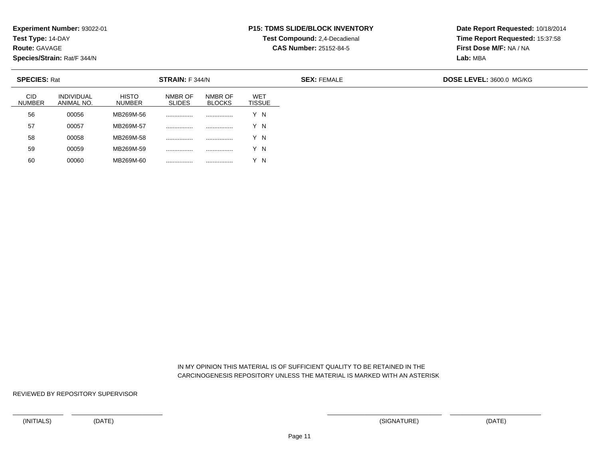**Test Type:** 14-DAY

**Route:** GAVAGE

**Species/Strain:** Rat/F 344/N

# **P15: TDMS SLIDE/BLOCK INVENTORY**

**Test Compound:** 2,4-Decadienal

**CAS Number:** 25152-84-5

**Date Report Requested:** 10/18/2014**Time Report Requested:** 15:37:58**First Dose M/F:** NA / NA**Lab:** MBA

| <b>SPECIES: Rat</b>         |                          |                               | STRAIN: F 344/N          |                          |                             | <b>SEX: FEMALE</b> | DOSE LEVEL: 3600.0 MG/KG |  |  |
|-----------------------------|--------------------------|-------------------------------|--------------------------|--------------------------|-----------------------------|--------------------|--------------------------|--|--|
| <b>CID</b><br><b>NUMBER</b> | INDIVIDUAL<br>ANIMAL NO. | <b>HISTO</b><br><b>NUMBER</b> | NMBR OF<br><b>SLIDES</b> | NMBR OF<br><b>BLOCKS</b> | <b>WET</b><br><b>TISSUE</b> |                    |                          |  |  |
| 56                          | 00056                    | MB269M-56                     |                          |                          | Y N                         |                    |                          |  |  |
| 57                          | 00057                    | MB269M-57                     |                          |                          | Y N                         |                    |                          |  |  |
| 58                          | 00058                    | MB269M-58                     |                          |                          | Y N                         |                    |                          |  |  |
| 59                          | 00059                    | MB269M-59                     | .                        |                          | Y N                         |                    |                          |  |  |
| 60                          | 00060                    | MB269M-60                     |                          |                          | Y N                         |                    |                          |  |  |

 IN MY OPINION THIS MATERIAL IS OF SUFFICIENT QUALITY TO BE RETAINED IN THECARCINOGENESIS REPOSITORY UNLESS THE MATERIAL IS MARKED WITH AN ASTERISK

REVIEWED BY REPOSITORY SUPERVISOR

<sup>00060</sup> MB269M-60 ................ ................ Y N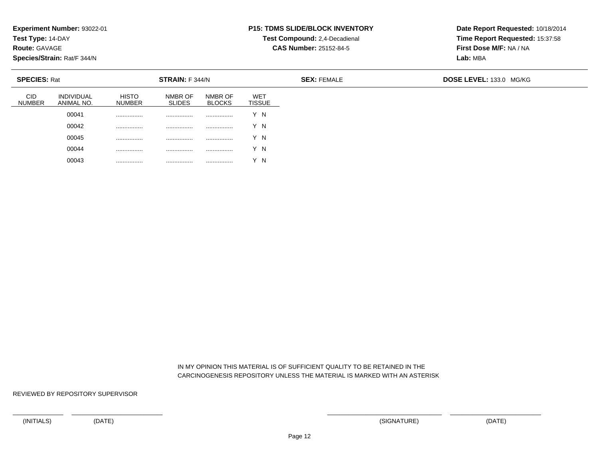**Test Type:** 14-DAY

**Route:** GAVAGE

**Species/Strain:** Rat/F 344/N

### **P15: TDMS SLIDE/BLOCK INVENTORY**

**Test Compound:** 2,4-Decadienal

**CAS Number:** 25152-84-5

**Date Report Requested:** 10/18/2014**Time Report Requested:** 15:37:58**First Dose M/F:** NA / NA**Lab:** MBA

| <b>SPECIES: Rat</b> |                                 |                               | STRAIN: F 344/N          |                          | <b>SEX: FEMALE</b>          |  | DOSE LEVEL: 133.0 MG/KG |
|---------------------|---------------------------------|-------------------------------|--------------------------|--------------------------|-----------------------------|--|-------------------------|
| <b>NUMBER</b>       | <b>INDIVIDUAL</b><br>ANIMAL NO. | <b>HISTO</b><br><b>NUMBER</b> | NMBR OF<br><b>SLIDES</b> | NMBR OF<br><b>BLOCKS</b> | <b>WET</b><br><b>TISSUE</b> |  |                         |
|                     | 00041                           | .                             | .                        | .                        | Y N                         |  |                         |
|                     | 00042                           |                               |                          |                          | Y N                         |  |                         |
|                     | 00045                           |                               |                          |                          | Y N                         |  |                         |
|                     | 00044                           |                               | .                        | .                        | Y N                         |  |                         |
|                     | 00043                           |                               | .                        | .                        | $\checkmark$<br>N           |  |                         |

 IN MY OPINION THIS MATERIAL IS OF SUFFICIENT QUALITY TO BE RETAINED IN THECARCINOGENESIS REPOSITORY UNLESS THE MATERIAL IS MARKED WITH AN ASTERISK

REVIEWED BY REPOSITORY SUPERVISOR